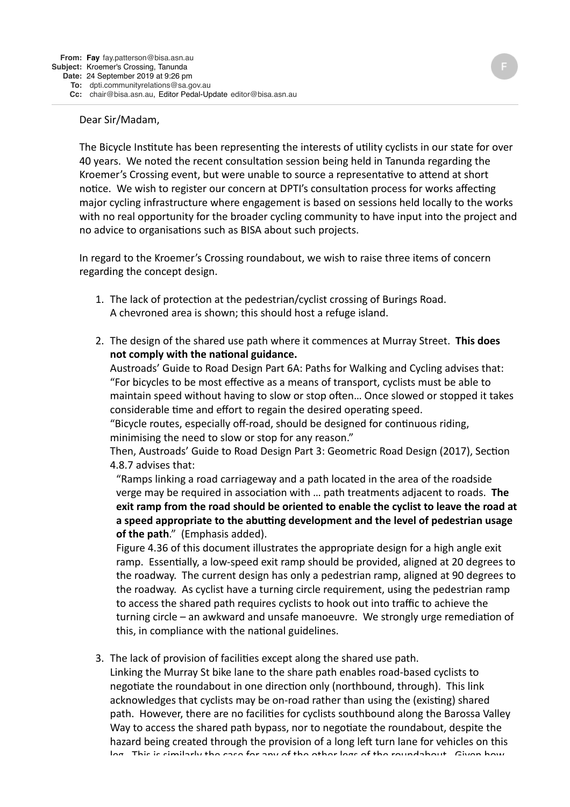## Dear Sir/Madam,

The Bicycle Institute has been representing the interests of utility cyclists in our state for over 40 years. We noted the recent consultation session being held in Tanunda regarding the Kroemer's Crossing event, but were unable to source a representative to attend at short notice. We wish to register our concern at DPTI's consultation process for works affecting major cycling infrastructure where engagement is based on sessions held locally to the works with no real opportunity for the broader cycling community to have input into the project and no advice to organisations such as BISA about such projects.

In regard to the Kroemer's Crossing roundabout, we wish to raise three items of concern regarding the concept design.

- 1. The lack of protection at the pedestrian/cyclist crossing of Burings Road. A chevroned area is shown; this should host a refuge island.
- 2. The design of the shared use path where it commences at Murray Street. This does **not comply with the national guidance.**

Austroads' Guide to Road Design Part 6A: Paths for Walking and Cycling advises that: "For bicycles to be most effective as a means of transport, cyclists must be able to maintain speed without having to slow or stop often... Once slowed or stopped it takes considerable time and effort to regain the desired operating speed.

"Bicycle routes, especially off-road, should be designed for continuous riding, minimising the need to slow or stop for any reason."

Then, Austroads' Guide to Road Design Part 3: Geometric Road Design (2017), Section 4.8.7 advises that:

"Ramps linking a road carriageway and a path located in the area of the roadside verge may be required in association with ... path treatments adjacent to roads. The exit ramp from the road should be oriented to enable the cyclist to leave the road at a speed appropriate to the abutting development and the level of pedestrian usage **of the path."** (Emphasis added).

Figure 4.36 of this document illustrates the appropriate design for a high angle exit ramp. Essentially, a low-speed exit ramp should be provided, aligned at 20 degrees to the roadway. The current design has only a pedestrian ramp, aligned at 90 degrees to the roadway. As cyclist have a turning circle requirement, using the pedestrian ramp to access the shared path requires cyclists to hook out into traffic to achieve the turning circle – an awkward and unsafe manoeuvre. We strongly urge remediation of this, in compliance with the national guidelines.

3. The lack of provision of facilities except along the shared use path.

Linking the Murray St bike lane to the share path enables road-based cyclists to negotiate the roundabout in one direction only (northbound, through). This link acknowledges that cyclists may be on-road rather than using the (existing) shared path. However, there are no facilities for cyclists southbound along the Barossa Valley Way to access the shared path bypass, nor to negotiate the roundabout, despite the hazard being created through the provision of a long left turn lane for vehicles on this leg. This is similarly the sase for any of the other legs of the roundabout. Civen how